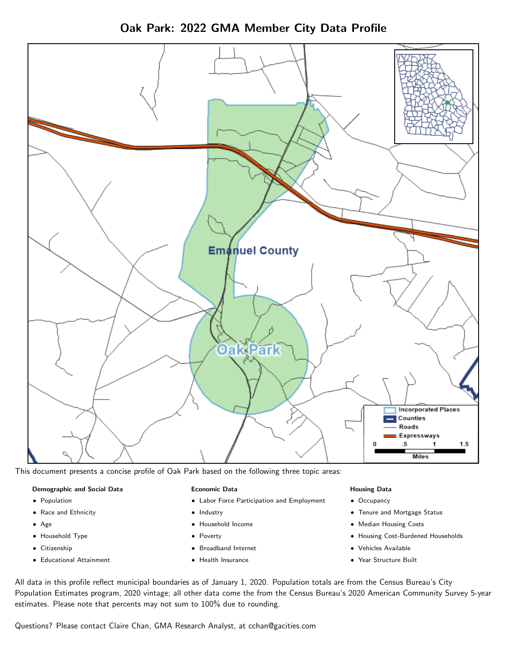Oak Park: 2022 GMA Member City Data Profile



This document presents a concise profile of Oak Park based on the following three topic areas:

#### Demographic and Social Data

- **•** Population
- Race and Ethnicity
- Age
- Household Type
- **Citizenship**
- Educational Attainment

### Economic Data

- Labor Force Participation and Employment
- Industry
- Household Income
- Poverty
- Broadband Internet
- Health Insurance

#### Housing Data

- Occupancy
- Tenure and Mortgage Status
- Median Housing Costs
- Housing Cost-Burdened Households
- Vehicles Available
- Year Structure Built

All data in this profile reflect municipal boundaries as of January 1, 2020. Population totals are from the Census Bureau's City Population Estimates program, 2020 vintage; all other data come the from the Census Bureau's 2020 American Community Survey 5-year estimates. Please note that percents may not sum to 100% due to rounding.

Questions? Please contact Claire Chan, GMA Research Analyst, at [cchan@gacities.com.](mailto:cchan@gacities.com)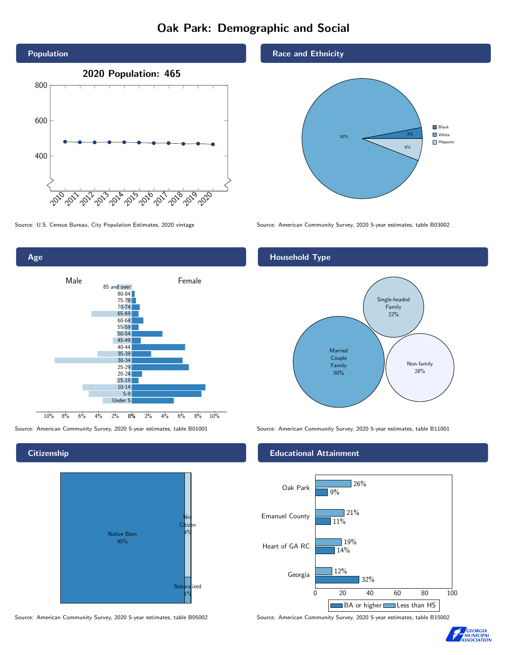# Oak Park: Demographic and Social





**Citizenship** 



Source: American Community Survey, 2020 5-year estimates, table B05002 Source: American Community Survey, 2020 5-year estimates, table B15002

### Race and Ethnicity



Source: U.S. Census Bureau, City Population Estimates, 2020 vintage Source: American Community Survey, 2020 5-year estimates, table B03002

## Household Type



Source: American Community Survey, 2020 5-year estimates, table B01001 Source: American Community Survey, 2020 5-year estimates, table B11001

### Educational Attainment



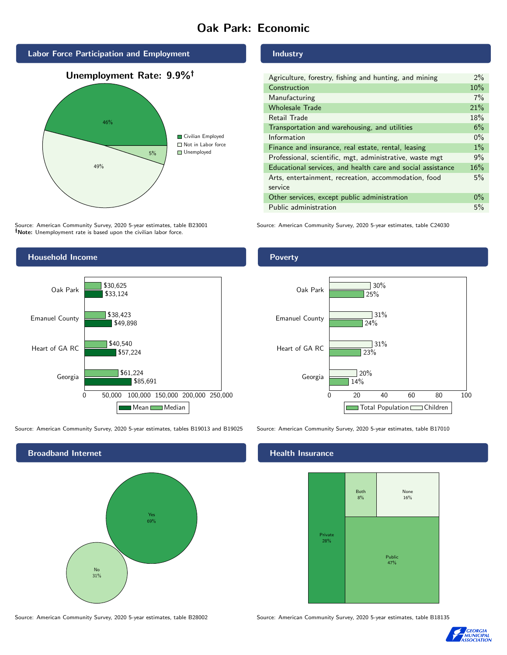# Oak Park: Economic



Source: American Community Survey, 2020 5-year estimates, table B23001 Note: Unemployment rate is based upon the civilian labor force.



Source: American Community Survey, 2020 5-year estimates, tables B19013 and B19025 Source: American Community Survey, 2020 5-year estimates, table B17010



Industry

| Agriculture, forestry, fishing and hunting, and mining      | $2\%$ |
|-------------------------------------------------------------|-------|
| Construction                                                | 10%   |
| Manufacturing                                               | 7%    |
| <b>Wholesale Trade</b>                                      | 21%   |
| Retail Trade                                                | 18%   |
| Transportation and warehousing, and utilities               | 6%    |
| Information                                                 | $0\%$ |
| Finance and insurance, real estate, rental, leasing         | $1\%$ |
| Professional, scientific, mgt, administrative, waste mgt    | 9%    |
| Educational services, and health care and social assistance | 16%   |
| Arts, entertainment, recreation, accommodation, food        | 5%    |
| service                                                     |       |
| Other services, except public administration                | $0\%$ |
| Public administration                                       | 5%    |

Source: American Community Survey, 2020 5-year estimates, table C24030

### Poverty



### Health Insurance



Source: American Community Survey, 2020 5-year estimates, table B28002 Source: American Community Survey, 2020 5-year estimates, table B18135